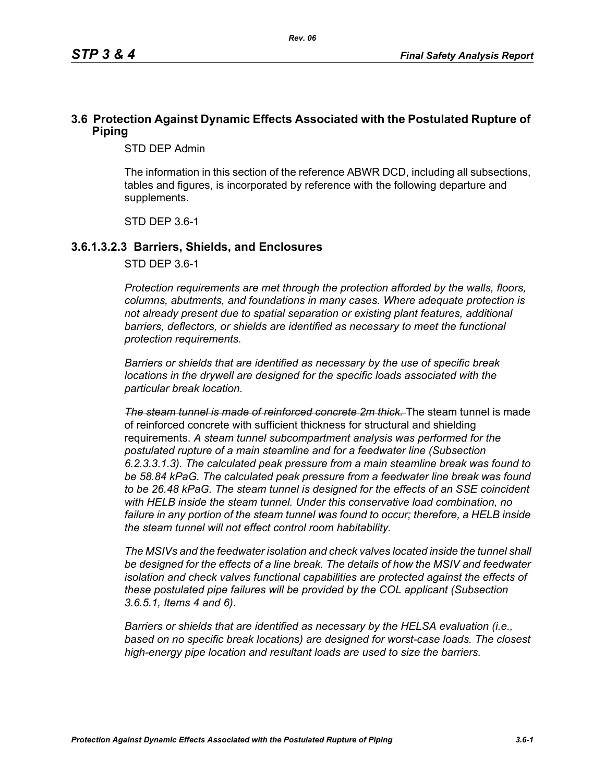## **3.6 Protection Against Dynamic Effects Associated with the Postulated Rupture of Piping**

STD DEP Admin

The information in this section of the reference ABWR DCD, including all subsections, tables and figures, is incorporated by reference with the following departure and supplements.

STD DEP 3.6-1

#### **3.6.1.3.2.3 Barriers, Shields, and Enclosures**

STD DEP 3.6-1

*Protection requirements are met through the protection afforded by the walls, floors, columns, abutments, and foundations in many cases. Where adequate protection is not already present due to spatial separation or existing plant features, additional*  barriers, deflectors, or shields are identified as necessary to meet the functional *protection requirements.*

*Barriers or shields that are identified as necessary by the use of specific break locations in the drywell are designed for the specific loads associated with the particular break location.*

*The steam tunnel is made of reinforced concrete 2m thick.* The steam tunnel is made of reinforced concrete with sufficient thickness for structural and shielding requirements. *A steam tunnel subcompartment analysis was performed for the postulated rupture of a main steamline and for a feedwater line (Subsection 6.2.3.3.1.3). The calculated peak pressure from a main steamline break was found to be 58.84 kPaG. The calculated peak pressure from a feedwater line break was found to be 26.48 kPaG. The steam tunnel is designed for the effects of an SSE coincident with HELB inside the steam tunnel. Under this conservative load combination, no failure in any portion of the steam tunnel was found to occur; therefore, a HELB inside the steam tunnel will not effect control room habitability.*

*The MSIVs and the feedwater isolation and check valves located inside the tunnel shall be designed for the effects of a line break. The details of how the MSIV and feedwater isolation and check valves functional capabilities are protected against the effects of these postulated pipe failures will be provided by the COL applicant (Subsection 3.6.5.1, Items 4 and 6).*

*Barriers or shields that are identified as necessary by the HELSA evaluation (i.e., based on no specific break locations) are designed for worst-case loads. The closest high-energy pipe location and resultant loads are used to size the barriers.*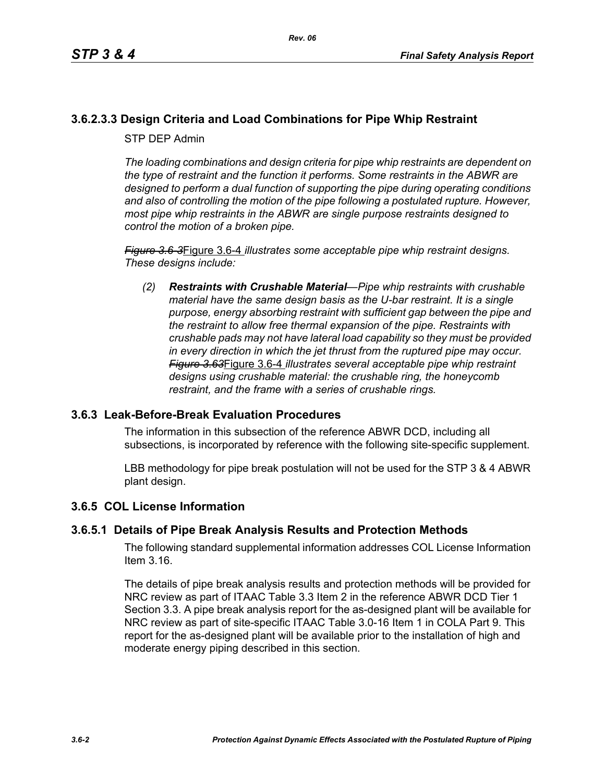# **3.6.2.3.3 Design Criteria and Load Combinations for Pipe Whip Restraint**

STP DEP Admin

*The loading combinations and design criteria for pipe whip restraints are dependent on the type of restraint and the function it performs. Some restraints in the ABWR are designed to perform a dual function of supporting the pipe during operating conditions and also of controlling the motion of the pipe following a postulated rupture. However, most pipe whip restraints in the ABWR are single purpose restraints designed to control the motion of a broken pipe.*

*Figure 3.6-3*Figure 3.6-4 *illustrates some acceptable pipe whip restraint designs. These designs include:*

*(2) Restraints with Crushable Material—Pipe whip restraints with crushable material have the same design basis as the U-bar restraint. It is a single purpose, energy absorbing restraint with sufficient gap between the pipe and the restraint to allow free thermal expansion of the pipe. Restraints with crushable pads may not have lateral load capability so they must be provided in every direction in which the jet thrust from the ruptured pipe may occur. Figure 3.63*Figure 3.6-4 *illustrates several acceptable pipe whip restraint designs using crushable material: the crushable ring, the honeycomb restraint, and the frame with a series of crushable rings.*

### **3.6.3 Leak-Before-Break Evaluation Procedures**

The information in this subsection of the reference ABWR DCD, including all subsections, is incorporated by reference with the following site-specific supplement.

LBB methodology for pipe break postulation will not be used for the STP 3 & 4 ABWR plant design.

### **3.6.5 COL License Information**

### **3.6.5.1 Details of Pipe Break Analysis Results and Protection Methods**

The following standard supplemental information addresses COL License Information Item 3.16.

The details of pipe break analysis results and protection methods will be provided for NRC review as part of ITAAC Table 3.3 Item 2 in the reference ABWR DCD Tier 1 Section 3.3. A pipe break analysis report for the as-designed plant will be available for NRC review as part of site-specific ITAAC Table 3.0-16 Item 1 in COLA Part 9. This report for the as-designed plant will be available prior to the installation of high and moderate energy piping described in this section.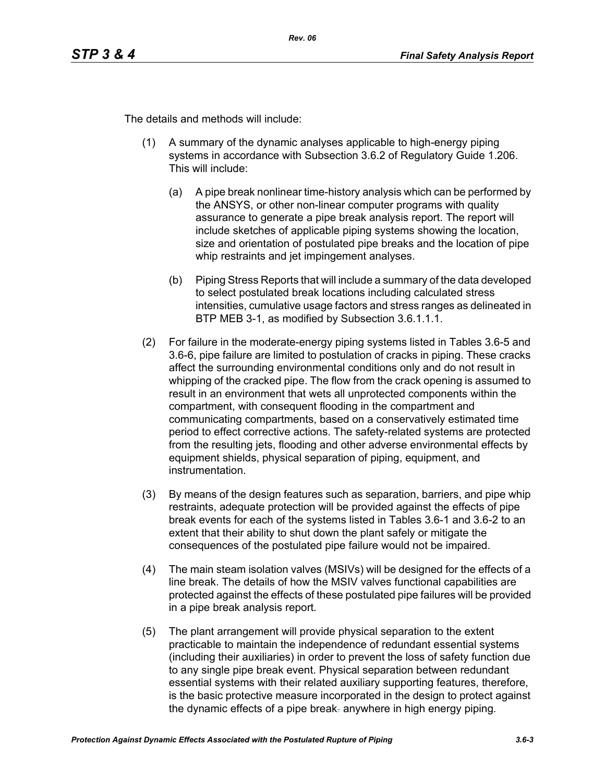The details and methods will include:

- (1) A summary of the dynamic analyses applicable to high-energy piping systems in accordance with Subsection 3.6.2 of Regulatory Guide 1.206. This will include:
	- (a) A pipe break nonlinear time-history analysis which can be performed by the ANSYS, or other non-linear computer programs with quality assurance to generate a pipe break analysis report. The report will include sketches of applicable piping systems showing the location, size and orientation of postulated pipe breaks and the location of pipe whip restraints and jet impingement analyses.
	- (b) Piping Stress Reports that will include a summary of the data developed to select postulated break locations including calculated stress intensities, cumulative usage factors and stress ranges as delineated in BTP MEB 3-1, as modified by Subsection 3.6.1.1.1.
- (2) For failure in the moderate-energy piping systems listed in Tables 3.6-5 and 3.6-6, pipe failure are limited to postulation of cracks in piping. These cracks affect the surrounding environmental conditions only and do not result in whipping of the cracked pipe. The flow from the crack opening is assumed to result in an environment that wets all unprotected components within the compartment, with consequent flooding in the compartment and communicating compartments, based on a conservatively estimated time period to effect corrective actions. The safety-related systems are protected from the resulting jets, flooding and other adverse environmental effects by equipment shields, physical separation of piping, equipment, and instrumentation.
- (3) By means of the design features such as separation, barriers, and pipe whip restraints, adequate protection will be provided against the effects of pipe break events for each of the systems listed in Tables 3.6-1 and 3.6-2 to an extent that their ability to shut down the plant safely or mitigate the consequences of the postulated pipe failure would not be impaired.
- (4) The main steam isolation valves (MSIVs) will be designed for the effects of a line break. The details of how the MSIV valves functional capabilities are protected against the effects of these postulated pipe failures will be provided in a pipe break analysis report*.*
- (5) The plant arrangement will provide physical separation to the extent practicable to maintain the independence of redundant essential systems (including their auxiliaries) in order to prevent the loss of safety function due to any single pipe break event. Physical separation between redundant essential systems with their related auxiliary supporting features, therefore, is the basic protective measure incorporated in the design to protect against the dynamic effects of a pipe break. anywhere in high energy piping*.*